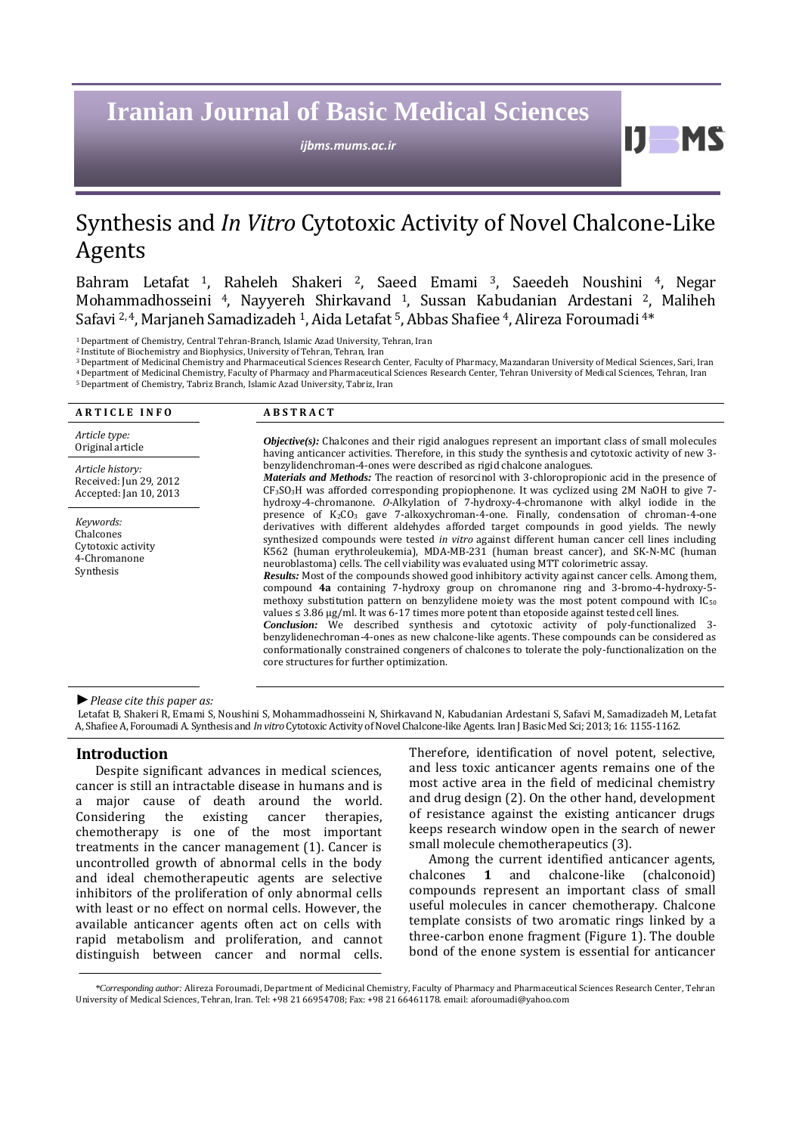# **Iranian Journal of Basic Medical Sciences**

*ijbms.mums.ac.ir*

# Synthesis and *In Vitro* Cytotoxic Activity of Novel Chalcone-Like Agents

[Bahram Letafat](https://www.jstage.jst.go.jp/AF06S010ShsiKskGmnHyj?chshnmHkwtsh=Bahram+Letafat) <sup>1</sup>, Raheleh Shakeri <sup>2</sup>, Saeed Emami <sup>3</sup>, Saeedeh Noushini <sup>4</sup>, Negar Mohammadhosseini <sup>4</sup>, Nayyereh Shirkavand <sup>1</sup>, Sussan Kabudanian Ardestani <sup>2</sup>, Maliheh Safavi <sup>2, 4</sup>, Marjaneh Samadizadeh <sup>1</sup>, Aida Letafat <sup>5</sup>, Abbas Shafiee <sup>4</sup>, Alireza Foroumadi <sup>4\*</sup>

<sup>1</sup>Department of Chemistry, Central Tehran-Branch, Islamic Azad University, Tehran, Iran

<sup>2</sup> Institute of Biochemistry and Biophysics, University of Tehran, Tehran, Iran

<sup>3</sup>Department of Medicinal Chemistry and Pharmaceutical Sciences Research Center, Faculty of Pharmacy, Mazandaran University of Medical Sciences, Sari, Iran <sup>4</sup>Department of Medicinal Chemistry, Faculty of Pharmacy and Pharmaceutical Sciences Research Center, Tehran University of Medical Sciences, Tehran, Iran

<sup>5</sup>Department of Chemistry, Tabriz Branch, Islamic Azad University, Tabriz, Iran

| <b>ARTICLE INFO</b>                                                       | <b>ABSTRACT</b>                                                                                                                                                                                                                                                                                                                                                                                                                                                                                                                                                                                                                                                                                                                                                                                                                                                                                                                                                                                                                                                                                                                                                                                                                |  |  |
|---------------------------------------------------------------------------|--------------------------------------------------------------------------------------------------------------------------------------------------------------------------------------------------------------------------------------------------------------------------------------------------------------------------------------------------------------------------------------------------------------------------------------------------------------------------------------------------------------------------------------------------------------------------------------------------------------------------------------------------------------------------------------------------------------------------------------------------------------------------------------------------------------------------------------------------------------------------------------------------------------------------------------------------------------------------------------------------------------------------------------------------------------------------------------------------------------------------------------------------------------------------------------------------------------------------------|--|--|
| Article type:<br>Original article                                         | <b><i>Objective(s)</i></b> : Chalcones and their rigid analogues represent an important class of small molecules<br>having anticancer activities. Therefore, in this study the synthesis and cytotoxic activity of new 3-                                                                                                                                                                                                                                                                                                                                                                                                                                                                                                                                                                                                                                                                                                                                                                                                                                                                                                                                                                                                      |  |  |
| Article history:<br>Received: Jun 29, 2012<br>Accepted: Jan 10, 2013      | benzylidenchroman-4-ones were described as rigid chalcone analogues.<br><i>Materials and Methods:</i> The reaction of resorcinol with 3-chloropropionic acid in the presence of<br>$CF3SO3H$ was afforded corresponding propiophenone. It was cyclized using 2M NaOH to give 7-<br>hydroxy-4-chromanone. O-Alkylation of 7-hydroxy-4-chromanone with alkyl iodide in the                                                                                                                                                                                                                                                                                                                                                                                                                                                                                                                                                                                                                                                                                                                                                                                                                                                       |  |  |
| Keywords:<br>Chalcones<br>Cytotoxic activity<br>4-Chromanone<br>Synthesis | presence of $K_2CO_3$ gave 7-alkoxychroman-4-one. Finally, condensation of chroman-4-one<br>derivatives with different aldehydes afforded target compounds in good yields. The newly<br>synthesized compounds were tested in vitro against different human cancer cell lines including<br>K562 (human erythroleukemia), MDA-MB-231 (human breast cancer), and SK-N-MC (human<br>neuroblastoma) cells. The cell viability was evaluated using MTT colorimetric assay.<br><b>Results:</b> Most of the compounds showed good inhibitory activity against cancer cells. Among them,<br>compound 4a containing 7-hydroxy group on chromanone ring and 3-bromo-4-hydroxy-5-<br>methoxy substitution pattern on benzylidene moiety was the most potent compound with $IC_{50}$<br>values $\leq 3.86 \mu$ g/ml. It was 6-17 times more potent than etoposide against tested cell lines.<br><b>Conclusion:</b> We described synthesis and cytotoxic activity of poly-functionalized 3-<br>benzylidenechroman-4-ones as new chalcone-like agents. These compounds can be considered as<br>conformationally constrained congeners of chalcones to tolerate the poly-functionalization on the<br>core structures for further optimization. |  |  |

*►Please cite this paper as:*

[Letafat](https://www.jstage.jst.go.jp/AF06S010ShsiKskGmnHyj?chshnmHkwtsh=Bahram+Letafat) B, Shakeri R, Emami S, Noushini S, Mohammadhosseini N, Shirkavand N, Kabudanian Ardestani S, Safavi M, Samadizadeh M, Letafat A, Shafiee A, Foroumadi A. Synthesis and *In vitro* Cytotoxic Activity of Novel Chalcone-like Agents*.*Iran J Basic Med Sci; 2013; 16: 1155-1162.

#### **Introduction**

Despite significant advances in medical sciences, cancer is still an intractable disease in humans and is a major cause of death around the world. Considering the existing cancer therapies, chemotherapy is one of the most important treatments in the cancer management (1). Cancer is uncontrolled growth of abnormal cells in the body and ideal chemotherapeutic agents are selective inhibitors of the proliferation of only abnormal cells with least or no effect on normal cells. However, the available anticancer agents often act on cells with rapid metabolism and proliferation, and cannot distinguish between cancer and normal cells. Therefore, identification of novel potent, selective, and less toxic anticancer agents remains one of the most active area in the field of medicinal chemistry and drug design (2). On the other hand, development of resistance against the existing anticancer drugs keeps research window open in the search of newer small molecule chemotherapeutics (3).

11

**MS** 

Among the current identified anticancer agents, chalcones **1** and chalcone-like (chalconoid) compounds represent an important class of small useful molecules in cancer chemotherapy. Chalcone template consists of two aromatic rings linked by a three-carbon enone fragment (Figure 1). The double bond of the enone system is essential for anticancer

*\*Corresponding author:* Alireza Foroumadi, Department of Medicinal Chemistry, Faculty of Pharmacy and Pharmaceutical Sciences Research Center, Tehran University of Medical Sciences, Tehran, Iran. Tel: +98 21 66954708; Fax: +98 21 66461178. email: aforoumadi@yahoo.com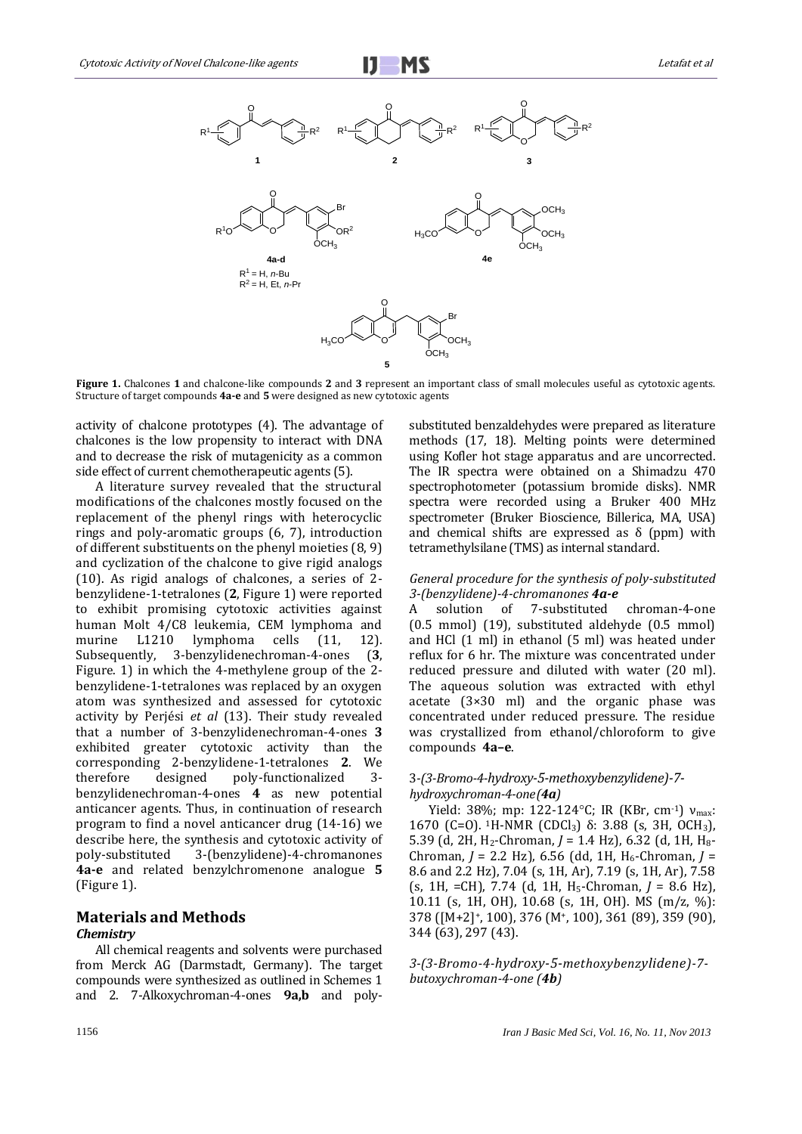



**Figure 1.** Chalcones **1** and chalcone-like compounds **2** and **3** represent an important class of small molecules useful as cytotoxic agents. Structure of target compounds **4a-e** and **5** were designed as new cytotoxic agents

activity of chalcone prototypes (4). The advantage of chalcones is the low propensity to interact with DNA and to decrease the risk of mutagenicity as a common side effect of current chemotherapeutic agents (5).

A literature survey revealed that the structural modifications of the chalcones mostly focused on the replacement of the phenyl rings with heterocyclic rings and poly-aromatic groups (6, 7), introduction of different substituents on the phenyl moieties (8, 9) and cyclization of the chalcone to give rigid analogs (10). As rigid analogs of chalcones, a series of 2 benzylidene-1-tetralones (**2**, Figure 1) were reported to exhibit promising cytotoxic activities against human Molt 4/C8 leukemia, CEM lymphoma and murine L1210 lymphoma cells (11, 12). Subsequently, 3-benzylidenechroman-4-ones (**3**, Figure. 1) in which the 4-methylene group of the 2 benzylidene-1-tetralones was replaced by an oxygen atom was synthesized and assessed for cytotoxic activity by Perjési *et al* (13). Their study revealed that a number of 3-benzylidenechroman-4-ones **3** exhibited greater cytotoxic activity than the corresponding 2-benzylidene-1-tetralones **2**. We therefore designed poly-functionalized 3 benzylidenechroman-4-ones **4** as new potential anticancer agents. Thus, in continuation of research program to find a novel anticancer drug (14-16) we describe here, the synthesis and cytotoxic activity of poly-substituted 3-(benzylidene)-4-chromanones **4a-e** and related benzylchromenone analogue **5** (Figure 1).

# **Materials and Methods**  *Chemistry*

All chemical reagents and solvents were purchased from Merck AG (Darmstadt, Germany). The target compounds were synthesized as outlined in Schemes 1 and 2. 7-Alkoxychroman-4-ones **9a,b** and polysubstituted benzaldehydes were prepared as literature methods (17, 18). Melting points were determined using Kofler hot stage apparatus and are uncorrected. The IR spectra were obtained on a Shimadzu 470 spectrophotometer (potassium bromide disks). NMR spectra were recorded using a Bruker 400 MHz spectrometer (Bruker Bioscience, Billerica, MA, USA) and chemical shifts are expressed as  $\delta$  (ppm) with tetramethylsilane (TMS) as internal standard.

# *General procedure for the synthesis of poly-substituted 3-(benzylidene)-4-chromanones 4a-e*

A solution of 7-substituted chroman-4-one (0.5 mmol) (19), substituted aldehyde (0.5 mmol) and HCl (1 ml) in ethanol (5 ml) was heated under reflux for 6 hr. The mixture was concentrated under reduced pressure and diluted with water (20 ml). The aqueous solution was extracted with ethyl acetate (3×30 ml) and the organic phase was concentrated under reduced pressure. The residue was crystallized from ethanol/chloroform to give compounds **4a–e**.

# 3*-(3-Bromo-4-hydroxy-5-methoxybenzylidene)-7 hydroxychroman-4-one(4a)*

Yield: 38%; mp: 122-124°C; IR (KBr, cm-1) ν<sub>max</sub>: 1670 (C=O). <sup>1</sup>H-NMR (CDCl3) δ: 3.88 (s, 3H, OCH3), 5.39 (d, 2H, H<sub>2</sub>-Chroman, *J* = 1.4 Hz), 6.32 (d, 1H, H<sub>8</sub>-Chroman, *J* = 2.2 Hz), 6.56 (dd, 1H, H<sub>6</sub>-Chroman, *J* = 8.6 and 2.2 Hz), 7.04 (s, 1H, Ar), 7.19 (s, 1H, Ar), 7.58 (s, 1H, =CH), 7.74 (d, 1H, H5-Chroman, *J* = 8.6 Hz), 10.11 (s, 1H, OH), 10.68 (s, 1H, OH). MS (m/z, %): 378 ([M+2]+, 100), 376 (M+, 100), 361 (89), 359 (90), 344 (63), 297 (43).

*3-(3-Bromo-4-hydroxy-5-methoxybenzylidene)-7 butoxychroman-4-one (4b)*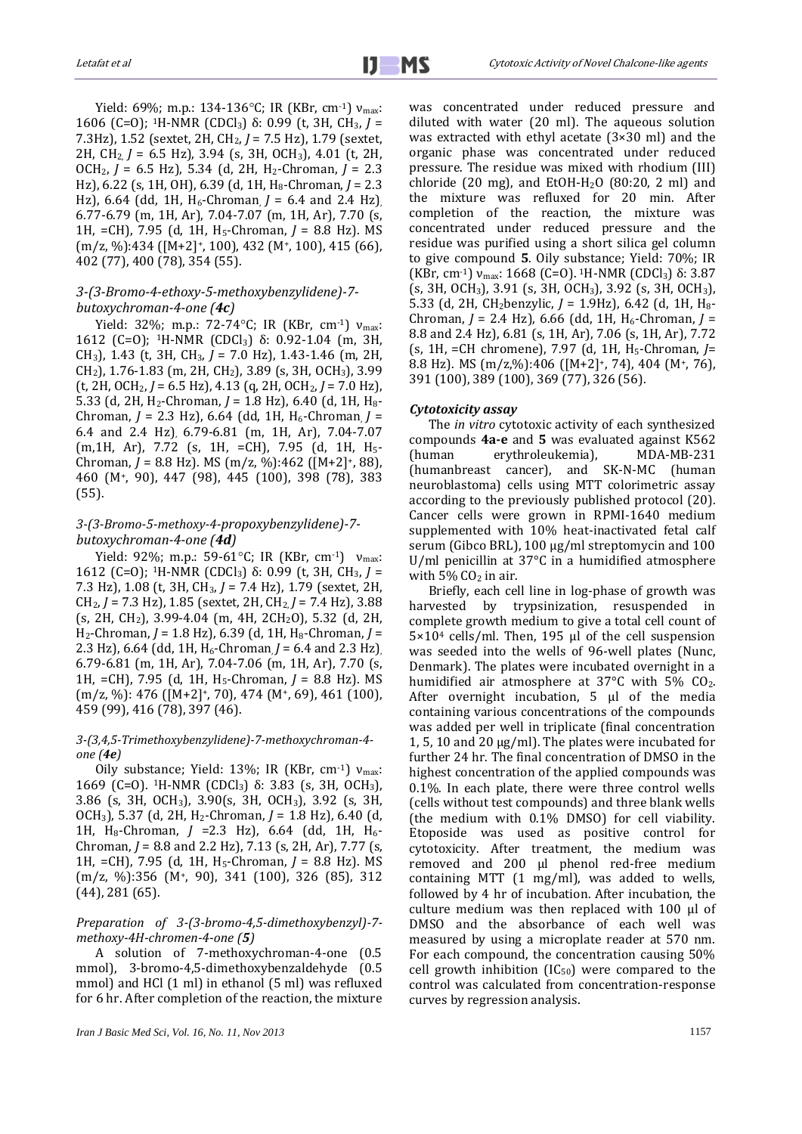Yield: 69%; m.p.: 134-136°C; IR (KBr, cm<sup>-1</sup>)  $v_{\text{max}}$ : 1606 (C=O); 1H-NMR (CDCl3) δ: 0.99 (t, 3H, CH3, *J* = 7.3Hz), 1.52 (sextet, 2H, CH2, *J* = 7.5 Hz), 1.79 (sextet, 2H, CH2, *J* = 6.5 Hz), 3.94 (s, 3H, OCH3), 4.01 (t, 2H, OCH2, *J* = 6.5 Hz), 5.34 (d, 2H, H2-Chroman, *J* = 2.3 Hz), 6.22 (s, 1H, OH), 6.39 (d, 1H, H8-Chroman, *J* = 2.3 Hz), 6.64 (dd, 1H,  $H_6$ -Chroman  $J = 6.4$  and 2.4 Hz) 6.77-6.79 (m, 1H, Ar), 7.04-7.07 (m, 1H, Ar), 7.70 (s, 1H, =CH), 7.95 (d, 1H, H5-Chroman, *J* = 8.8 Hz). MS  $(m/z, %): 434 ([M+2]+, 100), 432 (M+, 100), 415 (66),$ 402 (77), 400 (78), 354 (55).

## *3-(3-Bromo-4-ethoxy-5-methoxybenzylidene)-7 butoxychroman-4-one (4c)*

Yield: 32%; m.p.: 72-74°C; IR (KBr, cm<sup>-1</sup>)  $v_{\text{max}}$ : 1612 (C=O); 1H-NMR (CDCl3) δ: 0.92-1.04 (m, 3H, CH3), 1.43 (t, 3H, CH3, *J* = 7.0 Hz), 1.43-1.46 (m, 2H, CH2), 1.76-1.83 (m, 2H, CH2), 3.89 (s, 3H, OCH3), 3.99 (t, 2H, OCH2, *J* = 6.5 Hz), 4.13 (q, 2H, OCH2, *J* = 7.0 Hz), 5.33 (d, 2H, H2-Chroman, *J* = 1.8 Hz), 6.40 (d, 1H, H8- Chroman, *J* = 2.3 Hz), 6.64 (dd, 1H, H<sub>6</sub>-Chroman, *J* = 6.4 and 2.4 Hz), 6.79-6.81 (m, 1H, Ar), 7.04-7.07 (m,1H, Ar), 7.72 (s, 1H, =CH), 7.95 (d, 1H, H5- Chroman, *J* = 8.8 Hz). MS (m/z, %):462 ([M+2]+, 88), 460 (M+, 90), 447 (98), 445 (100), 398 (78), 383 (55).

# *3-(3-Bromo-5-methoxy-4-propoxybenzylidene)-7 butoxychroman-4-one (4d)*

Yield: 92%; m.p.: 59-61°C; IR (KBr, cm<sup>-1</sup>) ν<sub>max</sub>: 1612 (C=O); 1H-NMR (CDCl3) δ: 0.99 (t, 3H, CH3, *J* = 7.3 Hz), 1.08 (t, 3H, CH3, *J* = 7.4 Hz), 1.79 (sextet, 2H, CH2, *J* = 7.3 Hz), 1.85 (sextet, 2H, CH2, *J* = 7.4 Hz), 3.88 (s, 2H, CH2), 3.99-4.04 (m, 4H, 2CH2O), 5.32 (d, 2H, H2-Chroman, *J* = 1.8 Hz), 6.39 (d, 1H, H8-Chroman, *J* = 2.3 Hz), 6.64 (dd, 1H, H<sub>6</sub>-Chroman, *J* = 6.4 and 2.3 Hz), 6.79-6.81 (m, 1H, Ar), 7.04-7.06 (m, 1H, Ar), 7.70 (s, 1H, =CH), 7.95 (d, 1H, H5-Chroman, *J* = 8.8 Hz). MS (m/z, %): 476 ([M+2]+, 70), 474 (M+, 69), 461 (100), 459 (99), 416 (78), 397 (46).

#### *3-(3,4,5-Trimethoxybenzylidene)-7-methoxychroman-4 one (4e)*

Oily substance; Yield: 13%; IR (KBr, cm<sup>-1</sup>)  $v_{\text{max}}$ : 1669 (C=O). <sup>1</sup>H-NMR (CDCl<sub>3</sub>) δ: 3.83 (s, 3H, OCH<sub>3</sub>), 3.86 (s, 3H, OCH3), 3.90(s, 3H, OCH3), 3.92 (s, 3H, OCH3), 5.37 (d, 2H, H2-Chroman, *J* = 1.8 Hz), 6.40 (d, 1H, H<sub>8</sub>-Chroman, *J* = 2.3 Hz), 6.64 (dd, 1H, H<sub>6</sub>-Chroman, *J* = 8.8 and 2.2 Hz), 7.13 (s, 2H, Ar), 7.77 (s, 1H, =CH), 7.95 (d, 1H, H5-Chroman, *J* = 8.8 Hz). MS (m/z, %):356 (M+, 90), 341 (100), 326 (85), 312 (44), 281 (65).

#### *Preparation of 3-(3-bromo-4,5-dimethoxybenzyl)-7 methoxy-4H-chromen-4-one (5)*

A solution of 7-methoxychroman-4-one (0.5 mmol), 3-bromo-4,5-dimethoxybenzaldehyde (0.5 mmol) and HCl (1 ml) in ethanol (5 ml) was refluxed for 6 hr. After completion of the reaction, the mixture

*Iran J Basic Med Sci, Vol. 16, No. 11, Nov 2013* 1157

was concentrated under reduced pressure and diluted with water (20 ml). The aqueous solution was extracted with ethyl acetate (3×30 ml) and the organic phase was concentrated under reduced pressure. The residue was mixed with rhodium (III) chloride (20 mg), and EtOH-H<sub>2</sub>O (80:20, 2 ml) and the mixture was refluxed for 20 min. After completion of the reaction, the mixture was concentrated under reduced pressure and the residue was purified using a short silica gel column to give compound **5**. Oily substance; Yield: 70%; IR (KBr, cm<sup>-1</sup>) ν<sub>max</sub>: 1668 (C=0). <sup>1</sup>H-NMR (CDCl<sub>3</sub>) δ: 3.87 (s, 3H, OCH3), 3.91 (s, 3H, OCH3), 3.92 (s, 3H, OCH3), 5.33 (d, 2H, CH<sub>2</sub>benzylic, *J* = 1.9Hz), 6.42 (d, 1H, H<sub>8</sub>-Chroman, *J* = 2.4 Hz), 6.66 (dd, 1H, H6-Chroman, *J* = 8.8 and 2.4 Hz), 6.81 (s, 1H, Ar), 7.06 (s, 1H, Ar), 7.72 (s, 1H, =CH chromene), 7.97 (d, 1H, H5-Chroman, *J*= 8.8 Hz). MS (m/z,%):406 ([M+2]+, 74), 404 (M+, 76), 391 (100), 389 (100), 369 (77), 326 (56).

#### *Cytotoxicity assay*

The *in vitro* cytotoxic activity of each synthesized compounds **4a-e** and **5** was evaluated against K562 (human erythroleukemia), MDA-MB-231 (humanbreast cancer), and SK-N-MC (human neuroblastoma) cells using MTT colorimetric assay according to the previously published protocol (20). Cancer cells were grown in RPMI-1640 medium supplemented with 10% heat-inactivated fetal calf serum (Gibco BRL), 100 μg/ml streptomycin and 100 U/ml penicillin at 37°C in a humidified atmosphere with  $5\%$  CO<sub>2</sub> in air.

Briefly, each cell line in log-phase of growth was harvested by trypsinization, resuspended in complete growth medium to give a total cell count of 5×10<sup>4</sup> cells/ml. Then, 195 µl of the cell suspension was seeded into the wells of 96-well plates (Nunc, Denmark). The plates were incubated overnight in a humidified air atmosphere at 37°C with 5% CO<sub>2</sub>. After overnight incubation,  $5 \mu l$  of the media containing various concentrations of the compounds was added per well in triplicate (final concentration 1, 5, 10 and 20 µg/ml). The plates were incubated for further 24 hr. The final concentration of DMSO in the highest concentration of the applied compounds was 0.1%. In each plate, there were three control wells (cells without test compounds) and three blank wells (the medium with 0.1% DMSO) for cell viability. Etoposide was used as positive control for cytotoxicity. After treatment, the medium was removed and 200 µl phenol red-free medium containing MTT (1 mg/ml), was added to wells, followed by 4 hr of incubation. After incubation, the culture medium was then replaced with 100 µl of DMSO and the absorbance of each well was measured by using a microplate reader at 570 nm. For each compound, the concentration causing 50% cell growth inhibition  $(IC_{50})$  were compared to the control was calculated from concentration-response curves by regression analysis.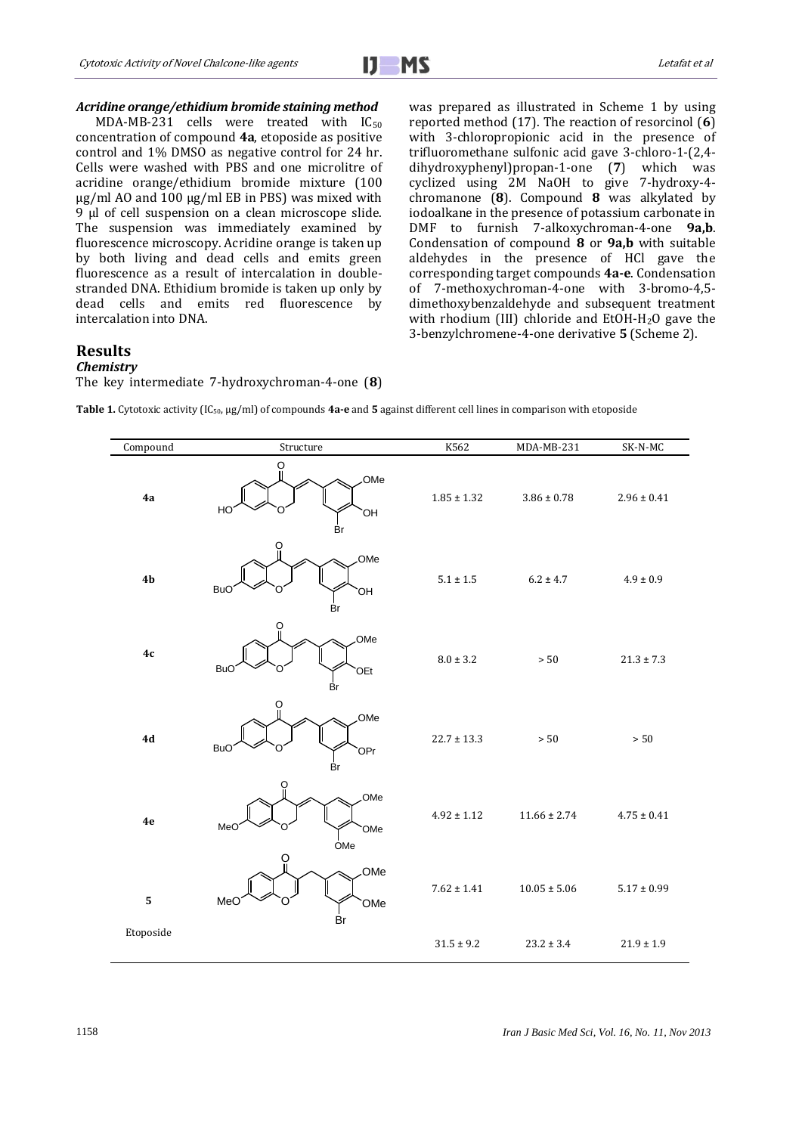

#### *Acridine orange/ethidium bromide staining method*

MDA-MB-231 cells were treated with  $IC_{50}$ concentration of compound **4a**, etoposide as positive control and 1% DMSO as negative control for 24 hr. Cells were washed with PBS and one microlitre of acridine orange/ethidium bromide mixture (100 µg/ml AO and 100 µg/ml EB in PBS) was mixed with 9 μl of cell suspension on a clean microscope slide. The suspension was immediately examined by fluorescence microscopy. Acridine orange is taken up by both living and dead cells and emits green fluorescence as a result of intercalation in doublestranded DNA. Ethidium bromide is taken up only by dead cells and emits red fluorescence by intercalation into DNA.

was prepared as illustrated in Scheme 1 by using reported method (17). The reaction of resorcinol (**6**) with 3-chloropropionic acid in the presence of trifluoromethane sulfonic acid gave 3-chloro-1-(2,4 dihydroxyphenyl)propan-1-one (**7**) which was cyclized using 2M NaOH to give 7-hydroxy-4 chromanone (**8**). Compound **8** was alkylated by iodoalkane in the presence of potassium carbonate in DMF to furnish 7-alkoxychroman-4-one **9a,b**. Condensation of compound **8** or **9a,b** with suitable aldehydes in the presence of HCl gave the corresponding target compounds **4a-e**. Condensation of 7-methoxychroman-4-one with 3-bromo-4,5 dimethoxybenzaldehyde and subsequent treatment with rhodium (III) chloride and EtOH-H2O gave the 3-benzylchromene-4-one derivative **5** (Scheme 2).

# **Results**

# *Chemistry*

The key intermediate 7-hydroxychroman-4-one (**8**)

**Table 1.** Cytotoxic activity (IC50, µg/ml) of compounds **4a-e** and **5** against different cell lines in comparison with etoposide

| Compound       | Structure                            | K562            | MDA-MB-231       | SK-N-MC         |
|----------------|--------------------------------------|-----------------|------------------|-----------------|
| 4a             | O<br>OMe<br>HC<br>OH<br>Br           | $1.85 \pm 1.32$ | $3.86 \pm 0.78$  | $2.96 \pm 0.41$ |
| 4 <sub>b</sub> | OMe<br><b>BuC</b><br>ЮH<br>Br        | $5.1 \pm 1.5$   | $6.2 \pm 4.7$    | $4.9 \pm 0.9$   |
| 4c             | O<br>.OMe<br><b>BuC</b><br>OEt<br>Br | $8.0 \pm 3.2$   | $>50\,$          | $21.3 \pm 7.3$  |
| 4d             | OMe<br><b>BuC</b><br>`OPr<br>Br      | $22.7 \pm 13.3$ | $>50\,$          | $>50$           |
| $4\mathrm{e}$  | ဂူ<br>OMe<br>MeO<br>OMe<br>OMe       | $4.92 \pm 1.12$ | $11.66 \pm 2.74$ | $4.75 \pm 0.41$ |
| ${\bf 5}$      | ö<br>OMe<br>MeO<br>OMe<br>Br         | $7.62 \pm 1.41$ | $10.05 \pm 5.06$ | $5.17 \pm 0.99$ |
| Etoposide      |                                      | $31.5 \pm 9.2$  | $23.2 \pm 3.4$   | $21.9 \pm 1.9$  |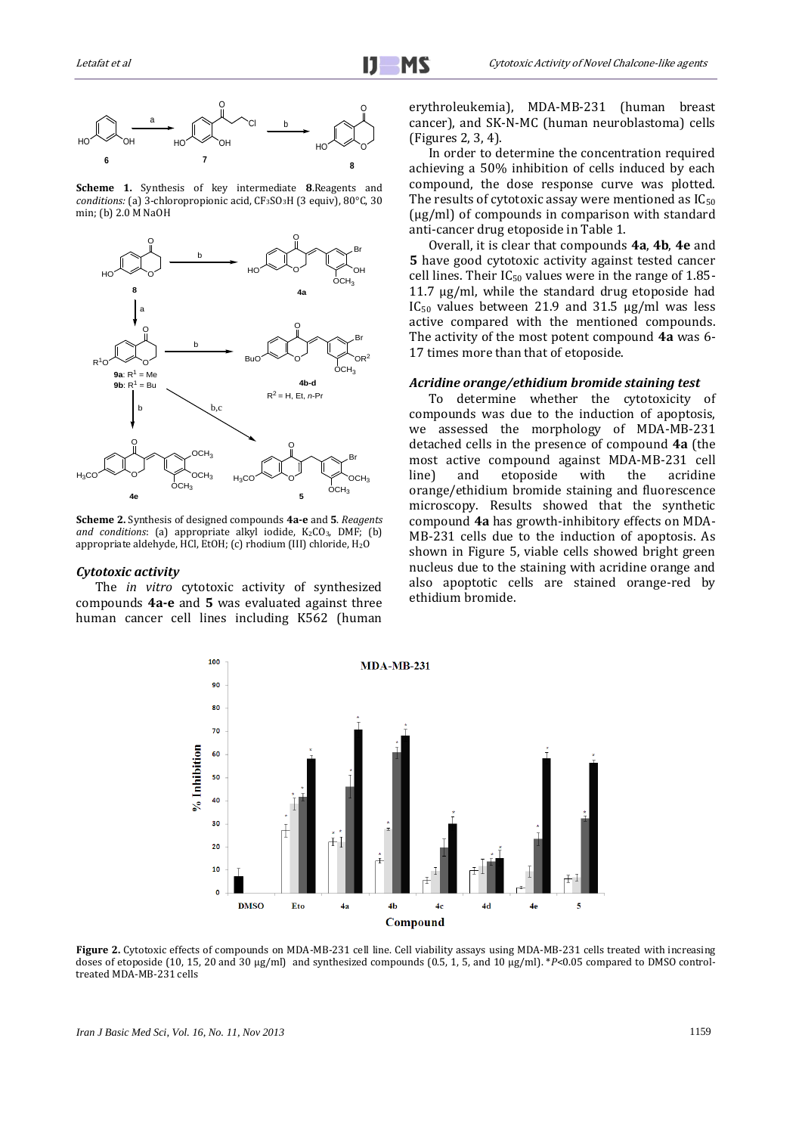

**Scheme 1.** Synthesis of key intermediate **8**.Reagents and *conditions:* (a) 3-chloropropionic acid, CF<sub>3</sub>SO<sub>3</sub>H (3 equiv), 80°C, 30 min; (b) 2.0 M NaOH



**Scheme 2.** Synthesis of designed compounds **4a-e** and **5**. *Reagents*  and conditions: (a) appropriate alkyl iodide, K<sub>2</sub>CO<sub>3</sub>, DMF; (b) appropriate aldehyde, HCl, EtOH; (c) rhodium (III) chloride, H2O

#### *Cytotoxic activity*

The *in vitro* cytotoxic activity of synthesized compounds **4a-e** and **5** was evaluated against three human cancer cell lines including K562 (human

erythroleukemia), MDA-MB-231 (human breast cancer), and SK-N-MC (human neuroblastoma) cells (Figures 2, 3, 4).

In order to determine the concentration required achieving a 50% inhibition of cells induced by each compound, the dose response curve was plotted. The results of cytotoxic assay were mentioned as  $IC_{50}$ (µg/ml) of compounds in comparison with standard anti-cancer drug etoposide in Table 1.

Overall, it is clear that compounds **4a**, **4b**, **4e** and **5** have good cytotoxic activity against tested cancer cell lines. Their  $IC_{50}$  values were in the range of 1.85-11.7 µg/ml, while the standard drug etoposide had IC<sub>50</sub> values between 21.9 and 31.5  $\mu$ g/ml was less active compared with the mentioned compounds. The activity of the most potent compound **4a** was 6- 17 times more than that of etoposide.

#### *Acridine orange/ethidium bromide staining test*

To determine whether the cytotoxicity of compounds was due to the induction of apoptosis, we assessed the morphology of MDA-MB-231 detached cells in the presence of compound **4a** (the most active compound against MDA-MB-231 cell line) and etoposide with the acridine orange/ethidium bromide staining and fluorescence microscopy. Results showed that the synthetic compound **4a** has growth-inhibitory effects on MDA-MB-231 cells due to the induction of apoptosis. As shown in Figure 5, viable cells showed bright green nucleus due to the staining with acridine orange and also apoptotic cells are stained orange-red by ethidium bromide.



Figure 2. Cytotoxic effects of compounds on MDA-MB-231 cell line. Cell viability assays using MDA-MB-231 cells treated with increasing doses of etoposide (10, 15, 20 and 30 µg/ml) and synthesized compounds (0.5, 1, 5, and 10 µg/ml). \**P*<0.05 compared to DMSO controltreated MDA-MB-231 cells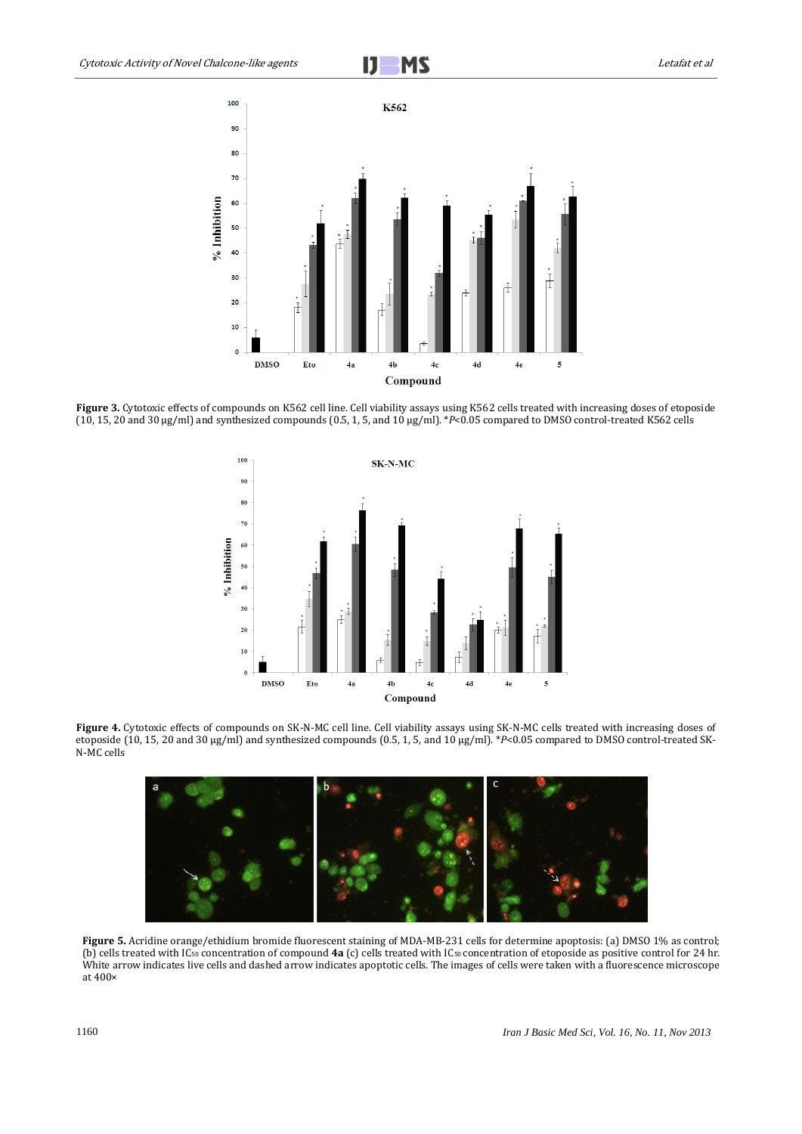

Figure 3. Cytotoxic effects of compounds on K562 cell line. Cell viability assays using K562 cells treated with increasing doses of etoposide (10, 15, 20 and 30 µg/ml) and synthesized compounds (0.5, 1, 5, and 10 µg/ml). \**P*<0.05 compared to DMSO control-treated K562 cells



**Figure 4.** Cytotoxic effects of compounds on SK-N-MC cell line. Cell viability assays using SK-N-MC cells treated with increasing doses of etoposide (10, 15, 20 and 30 µg/ml) and synthesized compounds (0.5, 1, 5, and 10 µg/ml). \**P*<0.05 compared to DMSO control-treated SK-N-MC cells



**Figure 5.** Acridine orange/ethidium bromide fluorescent staining of MDA-MB-231 cells for determine apoptosis: (a) DMSO 1% as control; (b) cells treated with IC<sup>50</sup> concentration of compound **4a** (c) cells treated with IC50 concentration of etoposide as positive control for 24 hr. White arrow indicates live cells and dashed arrow indicates apoptotic cells. The images of cells were taken with a fluorescence microscope at 400×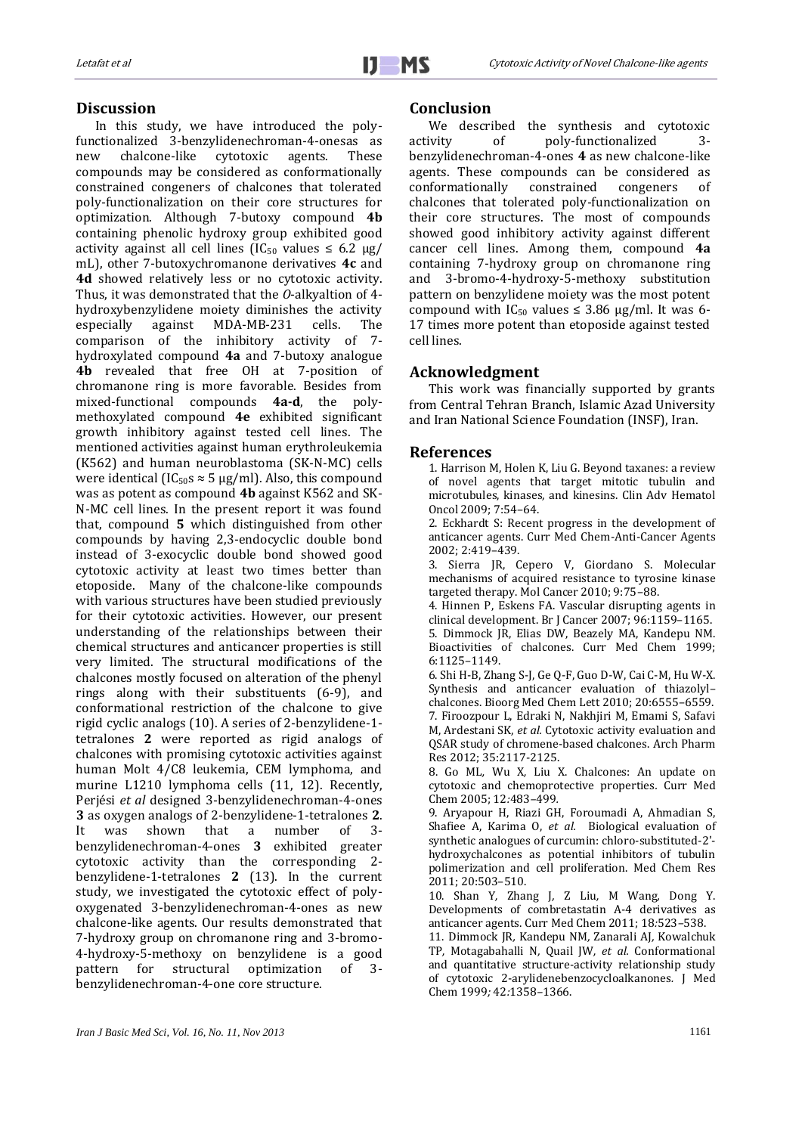# **Discussion**

In this study, we have introduced the polyfunctionalized 3-benzylidenechroman-4-onesas as new chalcone-like cytotoxic agents. These compounds may be considered as conformationally constrained congeners of chalcones that tolerated poly-functionalization on their core structures for optimization. Although 7-butoxy compound **4b** containing phenolic hydroxy group exhibited good activity against all cell lines (IC<sub>50</sub> values  $\leq 6.2 \text{ µg}$ ) mL), other 7-butoxychromanone derivatives **4c** and **4d** showed relatively less or no cytotoxic activity. Thus, it was demonstrated that the *O*-alkyaltion of 4 hydroxybenzylidene moiety diminishes the activity especially against MDA-MB-231 cells. The comparison of the inhibitory activity of 7 hydroxylated compound **4a** and 7-butoxy analogue **4b** revealed that free OH at 7-position of chromanone ring is more favorable. Besides from mixed-functional compounds **4a-d**, the polymethoxylated compound **4e** exhibited significant growth inhibitory against tested cell lines. The mentioned activities against human erythroleukemia (K562) and human neuroblastoma (SK-N-MC) cells were identical (IC<sub>50</sub>s  $\approx$  5 µg/ml). Also, this compound was as potent as compound **4b** against K562 and SK-N-MC cell lines. In the present report it was found that, compound **5** which distinguished from other compounds by having 2,3-endocyclic double bond instead of 3-exocyclic double bond showed good cytotoxic activity at least two times better than etoposide. Many of the chalcone-like compounds with various structures have been studied previously for their cytotoxic activities. However, our present understanding of the relationships between their chemical structures and anticancer properties is still very limited. The structural modifications of the chalcones mostly focused on alteration of the phenyl rings along with their substituents (6-9), and conformational restriction of the chalcone to give rigid cyclic analogs (10). A series of 2-benzylidene-1 tetralones **2** were reported as rigid analogs of chalcones with promising cytotoxic activities against human Molt 4/C8 leukemia, CEM lymphoma, and murine L1210 lymphoma cells (11, 12). Recently, Perjési *et al* designed 3-benzylidenechroman-4-ones **3** as oxygen analogs of 2-benzylidene-1-tetralones **2**. It was shown that a number of 3 benzylidenechroman-4-ones **3** exhibited greater cytotoxic activity than the corresponding 2 benzylidene-1-tetralones **2** (13). In the current study, we investigated the cytotoxic effect of polyoxygenated 3-benzylidenechroman-4-ones as new chalcone-like agents. Our results demonstrated that 7-hydroxy group on chromanone ring and 3-bromo-4-hydroxy-5-methoxy on benzylidene is a good pattern for structural optimization of 3 benzylidenechroman-4-one core structure.

#### **Conclusion**

We described the synthesis and cytotoxic<br>activity of poly-functionalized 3of poly-functionalized 3benzylidenechroman-4-ones **4** as new chalcone-like agents. These compounds can be considered as conformationally constrained congeners of chalcones that tolerated poly-functionalization on their core structures. The most of compounds showed good inhibitory activity against different cancer cell lines. Among them, compound **4a** containing 7-hydroxy group on chromanone ring and 3-bromo-4-hydroxy-5-methoxy substitution pattern on benzylidene moiety was the most potent compound with  $IC_{50}$  values  $\leq$  3.86 µg/ml. It was 6-17 times more potent than etoposide against tested cell lines.

## **Acknowledgment**

This work was financially supported by grants from Central Tehran Branch, Islamic Azad University and Iran National Science Foundation (INSF), Iran.

#### **References**

1. Harrison M, Holen K, Liu G. Beyond taxanes: a review of novel agents that target mitotic tubulin and microtubules, kinases, and kinesins. Clin Adv Hematol Oncol 2009; 7:54–64.

2. Eckhardt S: Recent progress in the development of anticancer agents. Curr Med Chem-Anti-Cancer Agents 2002; 2:419–439.

3. Sierra JR, Cepero V, Giordano S. Molecular mechanisms of acquired resistance to tyrosine kinase targeted therapy. Mol Cancer 2010; 9:75–88.

4. Hinnen P, Eskens FA. Vascular disrupting agents in clinical development. Br J Cancer 2007; 96:1159–1165. 5. Dimmock JR, Elias DW, Beazely MA, Kandepu NM. Bioactivities of chalcones. Curr Med Chem 1999; 6:1125–1149.

6. Shi H-B, Zhang S-J, Ge Q-F, Guo D-W, Cai C-M, Hu W-X. Synthesis and anticancer evaluation of thiazolyl– chalcones. Bioorg Med Chem Lett 2010; 20:6555–6559. 7. Firoozpour L, Edraki N, Nakhjiri M, Emami S, Safavi M, Ardestani SK, *et al.* Cytotoxic activity evaluation and QSAR study of chromene-based chalcones. Arch Pharm Res 2012; 35:2117-2125.

8. Go ML*,* Wu X*,* Liu X. Chalcones: An update on cytotoxic and chemoprotective properties*.* Curr Med Chem 2005; 12*:*483*–*499*.*

9. Aryapour H, Riazi GH, Foroumadi A, Ahmadian S, Shafiee A, Karima O, *et al.* Biological evaluation of synthetic analogues of curcumin: chloro-substituted-2' hydroxychalcones as potential inhibitors of tubulin polimerization and cell proliferation. Med Chem Res 2011; 20:503–510.

10. Shan Y*,* Zhang J*,* Z Liu*,* M Wang*,* Dong Y. Developments of combretastatin A-4 derivatives as anticancer agents. Curr Med Chem 2011; 18*:*523*–*538.

11. Dimmock JR*,* Kandepu NM*,* Zanarali AJ*,* Kowalchuk TP*,* Motagabahalli N*,* Quail JW*, et al.* Conformational and quantitative structure-activity relationship study of cytotoxic 2-arylidenebenzocycloalkanones*.* J Med Chem 1999*;* 42*:*1358*–*1366.